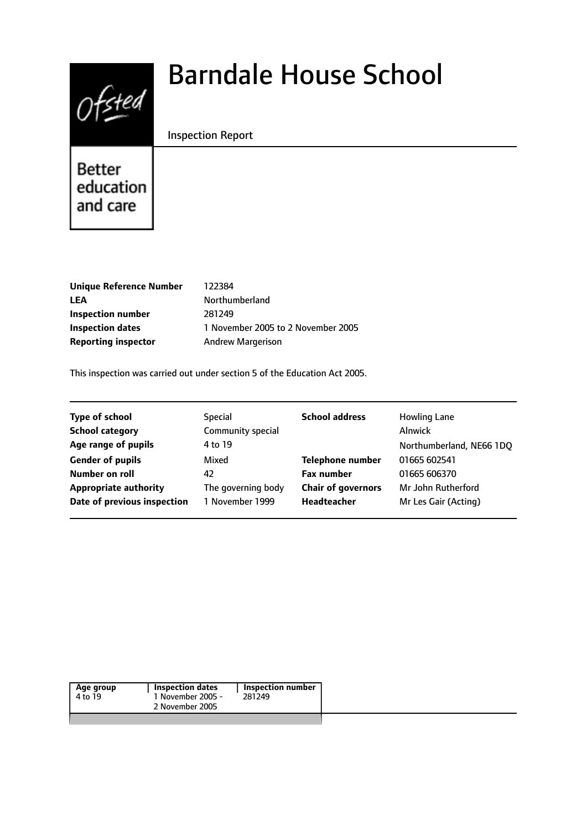

# Barndale House School

## Inspection Report

**Better** education and care

**Unique Reference Number** 122384 LEA Northumberland **Inspection number** 281249 **Reporting inspector** Andrew Margerison

**Inspection dates** 1 November 2005 to 2 November 2005

This inspection was carried out under section 5 of the Education Act 2005.

| <b>Type of school</b>        | <b>Special</b>     | <b>School address</b>     | <b>Howling Lane</b>      |
|------------------------------|--------------------|---------------------------|--------------------------|
| <b>School category</b>       | Community special  |                           | <b>Alnwick</b>           |
| Age range of pupils          | 4 to 19            |                           | Northumberland, NE66 1DQ |
| <b>Gender of pupils</b>      | Mixed              | <b>Telephone number</b>   | 01665 602541             |
| Number on roll               | 42                 | <b>Fax number</b>         | 01665 606370             |
| <b>Appropriate authority</b> | The governing body | <b>Chair of governors</b> | Mr John Rutherford       |
| Date of previous inspection  | 1 November 1999    | Headteacher               | Mr Les Gair (Acting)     |
|                              |                    |                           |                          |

| Age group | <b>Inspection dates</b> | Inspection number |
|-----------|-------------------------|-------------------|
| 4 to 19   | 1 November 2005 -       | 281249            |
|           | 2 November 2005         |                   |
|           |                         |                   |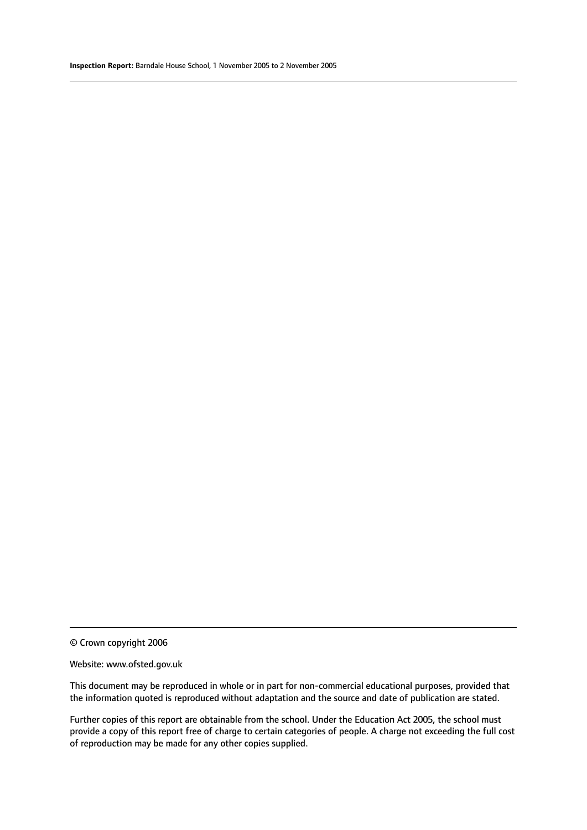#### Website: www.ofsted.gov.uk

This document may be reproduced in whole or in part for non-commercial educational purposes, provided that the information quoted is reproduced without adaptation and the source and date of publication are stated.

Further copies of this report are obtainable from the school. Under the Education Act 2005, the school must provide a copy of this report free of charge to certain categories of people. A charge not exceeding the full cost of reproduction may be made for any other copies supplied.

<sup>©</sup> Crown copyright 2006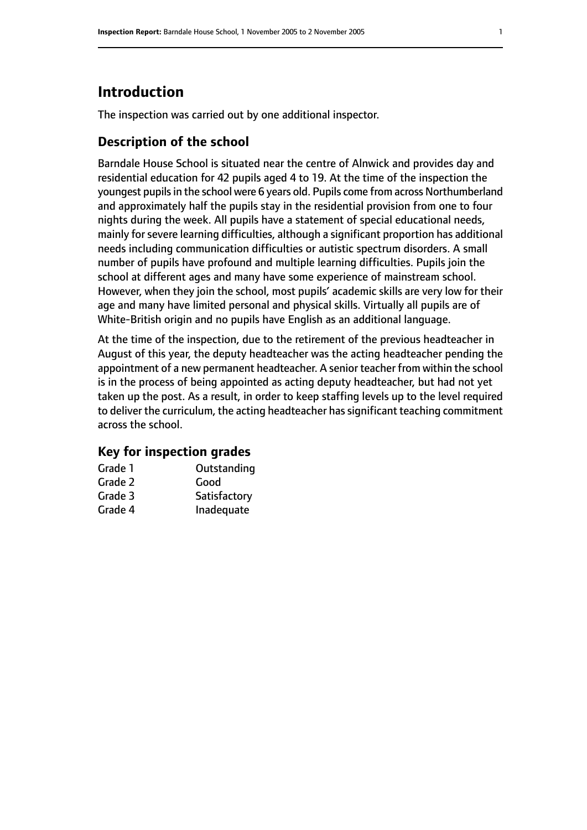# **Introduction**

The inspection was carried out by one additional inspector.

# **Description of the school**

Barndale House School is situated near the centre of Alnwick and provides day and residential education for 42 pupils aged 4 to 19. At the time of the inspection the youngest pupils in the school were 6 years old. Pupils come from across Northumberland and approximately half the pupils stay in the residential provision from one to four nights during the week. All pupils have a statement of special educational needs, mainly for severe learning difficulties, although a significant proportion has additional needs including communication difficulties or autistic spectrum disorders. A small number of pupils have profound and multiple learning difficulties. Pupils join the school at different ages and many have some experience of mainstream school. However, when they join the school, most pupils' academic skills are very low for their age and many have limited personal and physical skills. Virtually all pupils are of White-British origin and no pupils have English as an additional language.

At the time of the inspection, due to the retirement of the previous headteacher in August of this year, the deputy headteacher was the acting headteacher pending the appointment of a new permanent headteacher. A senior teacher from within the school is in the process of being appointed as acting deputy headteacher, but had not yet taken up the post. As a result, in order to keep staffing levels up to the level required to deliver the curriculum, the acting headteacher has significant teaching commitment across the school.

#### **Key for inspection grades**

| Grade 1 | Outstanding  |
|---------|--------------|
| Grade 2 | Good         |
| Grade 3 | Satisfactory |
| Grade 4 | Inadequate   |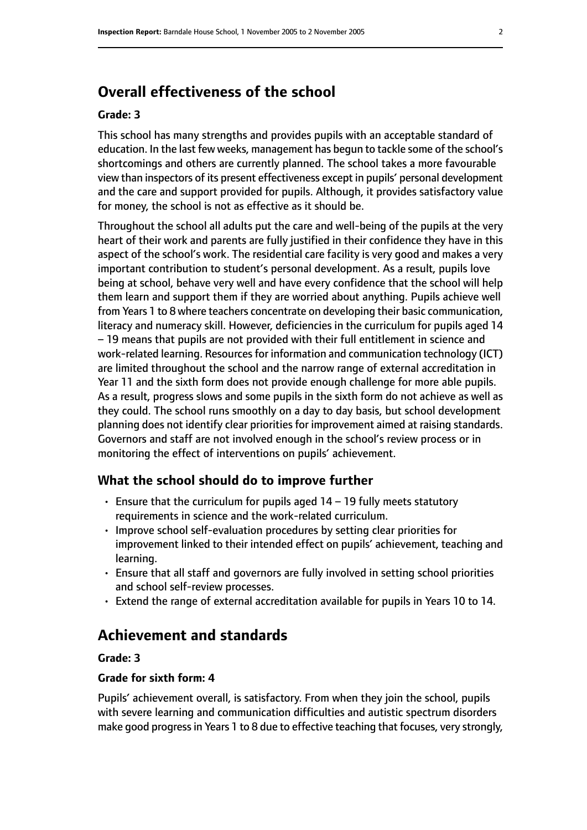# **Overall effectiveness of the school**

#### **Grade: 3**

This school has many strengths and provides pupils with an acceptable standard of education. In the last few weeks, management has begun to tackle some of the school's shortcomings and others are currently planned. The school takes a more favourable view than inspectors of its present effectiveness except in pupils' personal development and the care and support provided for pupils. Although, it provides satisfactory value for money, the school is not as effective as it should be.

Throughout the school all adults put the care and well-being of the pupils at the very heart of their work and parents are fully justified in their confidence they have in this aspect of the school's work. The residential care facility is very good and makes a very important contribution to student's personal development. As a result, pupils love being at school, behave very well and have every confidence that the school will help them learn and support them if they are worried about anything. Pupils achieve well from Years 1 to 8 where teachers concentrate on developing their basic communication, literacy and numeracy skill. However, deficiencies in the curriculum for pupils aged 14 – 19 means that pupils are not provided with their full entitlement in science and work-related learning. Resources for information and communication technology (ICT) are limited throughout the school and the narrow range of external accreditation in Year 11 and the sixth form does not provide enough challenge for more able pupils. As a result, progress slows and some pupils in the sixth form do not achieve as well as they could. The school runs smoothly on a day to day basis, but school development planning does not identify clear priorities for improvement aimed at raising standards. Governors and staff are not involved enough in the school's review process or in monitoring the effect of interventions on pupils' achievement.

#### **What the school should do to improve further**

- Ensure that the curriculum for pupils aged 14 19 fully meets statutory requirements in science and the work-related curriculum.
- Improve school self-evaluation procedures by setting clear priorities for improvement linked to their intended effect on pupils' achievement, teaching and learning.
- Ensure that all staff and governors are fully involved in setting school priorities and school self-review processes.
- Extend the range of external accreditation available for pupils in Years 10 to 14.

# **Achievement and standards**

#### **Grade: 3**

#### **Grade for sixth form: 4**

Pupils' achievement overall, is satisfactory. From when they join the school, pupils with severe learning and communication difficulties and autistic spectrum disorders make good progressin Years 1 to 8 due to effective teaching that focuses, very strongly,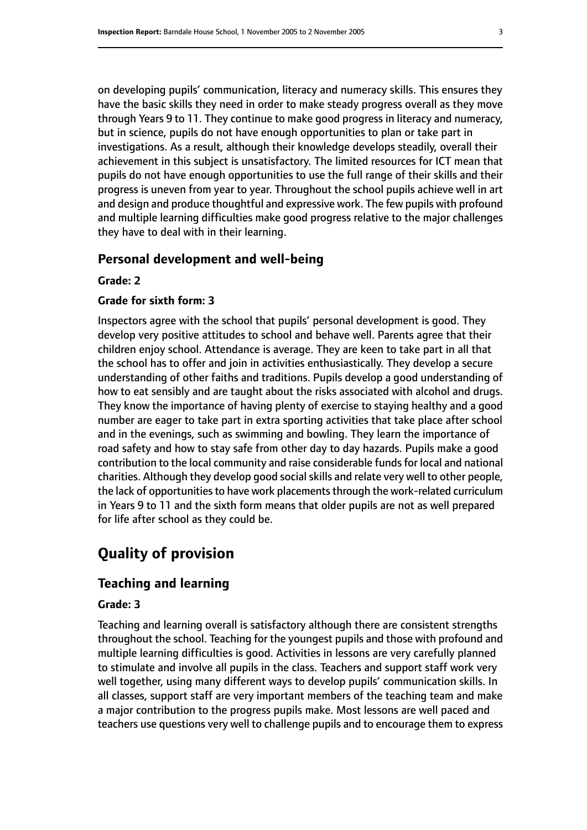on developing pupils' communication, literacy and numeracy skills. This ensures they have the basic skills they need in order to make steady progress overall as they move through Years 9 to 11. They continue to make good progress in literacy and numeracy, but in science, pupils do not have enough opportunities to plan or take part in investigations. As a result, although their knowledge develops steadily, overall their achievement in this subject is unsatisfactory. The limited resources for ICT mean that pupils do not have enough opportunities to use the full range of their skills and their progress is uneven from year to year. Throughout the school pupils achieve well in art and design and produce thoughtful and expressive work. The few pupils with profound and multiple learning difficulties make good progress relative to the major challenges they have to deal with in their learning.

## **Personal development and well-being**

**Grade: 2**

#### **Grade for sixth form: 3**

Inspectors agree with the school that pupils' personal development is good. They develop very positive attitudes to school and behave well. Parents agree that their children enjoy school. Attendance is average. They are keen to take part in all that the school has to offer and join in activities enthusiastically. They develop a secure understanding of other faiths and traditions. Pupils develop a good understanding of how to eat sensibly and are taught about the risks associated with alcohol and drugs. They know the importance of having plenty of exercise to staying healthy and a good number are eager to take part in extra sporting activities that take place after school and in the evenings, such as swimming and bowling. They learn the importance of road safety and how to stay safe from other day to day hazards. Pupils make a good contribution to the local community and raise considerable funds for local and national charities. Although they develop good social skills and relate very well to other people, the lack of opportunities to have work placements through the work-related curriculum in Years 9 to 11 and the sixth form means that older pupils are not as well prepared for life after school as they could be.

# **Quality of provision**

## **Teaching and learning**

#### **Grade: 3**

Teaching and learning overall is satisfactory although there are consistent strengths throughout the school. Teaching for the youngest pupils and those with profound and multiple learning difficulties is good. Activities in lessons are very carefully planned to stimulate and involve all pupils in the class. Teachers and support staff work very well together, using many different ways to develop pupils' communication skills. In all classes, support staff are very important members of the teaching team and make a major contribution to the progress pupils make. Most lessons are well paced and teachers use questions very well to challenge pupils and to encourage them to express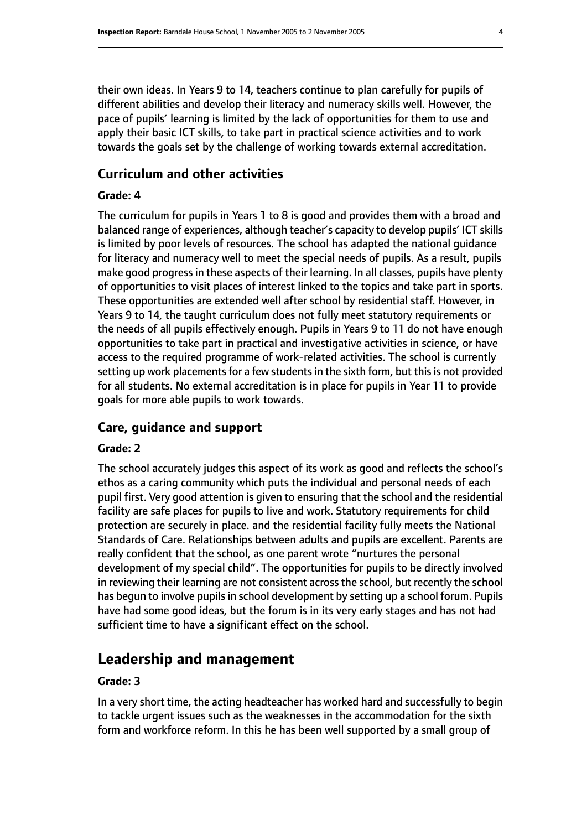their own ideas. In Years 9 to 14, teachers continue to plan carefully for pupils of different abilities and develop their literacy and numeracy skills well. However, the pace of pupils' learning is limited by the lack of opportunities for them to use and apply their basic ICT skills, to take part in practical science activities and to work towards the goals set by the challenge of working towards external accreditation.

#### **Curriculum and other activities**

#### **Grade: 4**

The curriculum for pupils in Years 1 to 8 is good and provides them with a broad and balanced range of experiences, although teacher's capacity to develop pupils' ICT skills is limited by poor levels of resources. The school has adapted the national guidance for literacy and numeracy well to meet the special needs of pupils. As a result, pupils make good progress in these aspects of their learning. In all classes, pupils have plenty of opportunities to visit places of interest linked to the topics and take part in sports. These opportunities are extended well after school by residential staff. However, in Years 9 to 14, the taught curriculum does not fully meet statutory requirements or the needs of all pupils effectively enough. Pupils in Years 9 to 11 do not have enough opportunities to take part in practical and investigative activities in science, or have access to the required programme of work-related activities. The school is currently setting up work placements for a few students in the sixth form, but this is not provided for all students. No external accreditation is in place for pupils in Year 11 to provide goals for more able pupils to work towards.

#### **Care, guidance and support**

#### **Grade: 2**

The school accurately judges this aspect of its work as good and reflects the school's ethos as a caring community which puts the individual and personal needs of each pupil first. Very good attention is given to ensuring that the school and the residential facility are safe places for pupils to live and work. Statutory requirements for child protection are securely in place. and the residential facility fully meets the National Standards of Care. Relationships between adults and pupils are excellent. Parents are really confident that the school, as one parent wrote "nurtures the personal development of my special child". The opportunities for pupils to be directly involved in reviewing their learning are not consistent across the school, but recently the school has begun to involve pupils in school development by setting up a school forum. Pupils have had some good ideas, but the forum is in its very early stages and has not had sufficient time to have a significant effect on the school.

# **Leadership and management**

#### **Grade: 3**

In a very short time, the acting headteacher has worked hard and successfully to begin to tackle urgent issues such as the weaknesses in the accommodation for the sixth form and workforce reform. In this he has been well supported by a small group of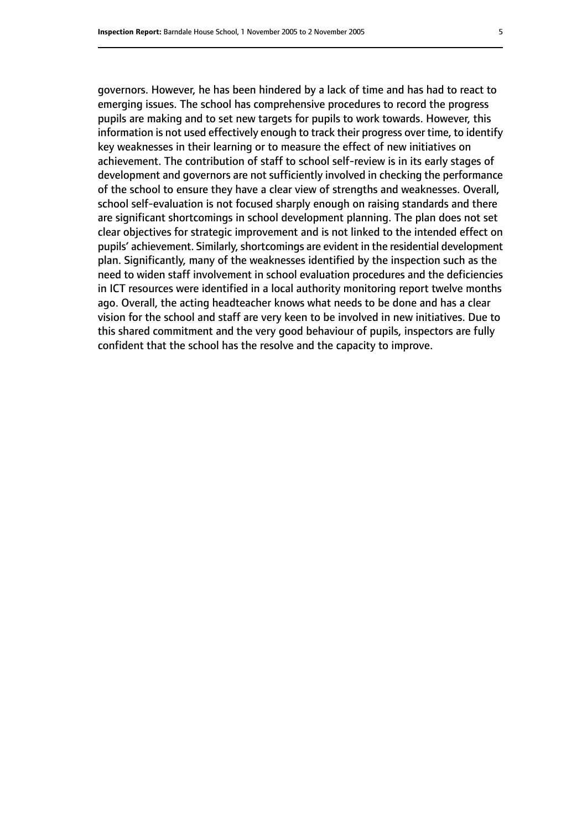governors. However, he has been hindered by a lack of time and has had to react to emerging issues. The school has comprehensive procedures to record the progress pupils are making and to set new targets for pupils to work towards. However, this information is not used effectively enough to track their progress over time, to identify key weaknesses in their learning or to measure the effect of new initiatives on achievement. The contribution of staff to school self-review is in its early stages of development and governors are not sufficiently involved in checking the performance of the school to ensure they have a clear view of strengths and weaknesses. Overall, school self-evaluation is not focused sharply enough on raising standards and there are significant shortcomings in school development planning. The plan does not set clear objectives for strategic improvement and is not linked to the intended effect on pupils' achievement. Similarly, shortcomings are evident in the residential development plan. Significantly, many of the weaknesses identified by the inspection such as the need to widen staff involvement in school evaluation procedures and the deficiencies in ICT resources were identified in a local authority monitoring report twelve months ago. Overall, the acting headteacher knows what needs to be done and has a clear vision for the school and staff are very keen to be involved in new initiatives. Due to this shared commitment and the very good behaviour of pupils, inspectors are fully confident that the school has the resolve and the capacity to improve.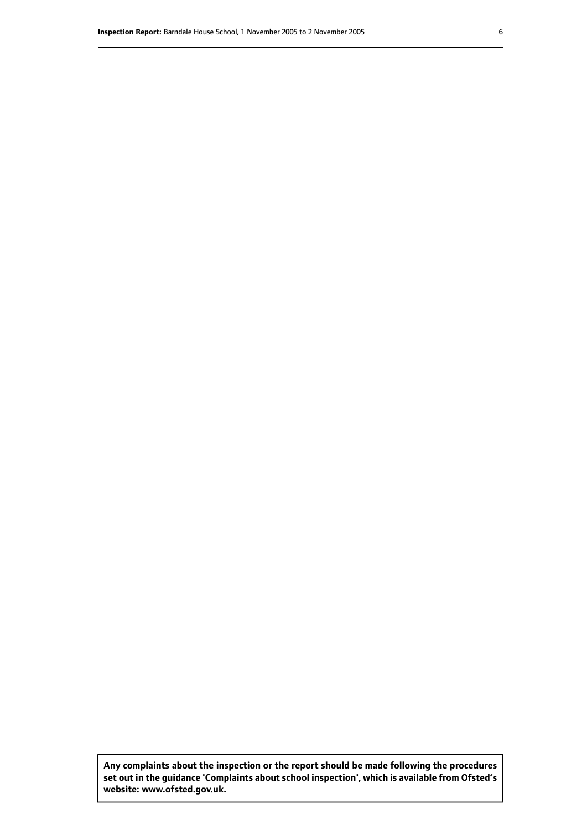**Any complaints about the inspection or the report should be made following the procedures set out inthe guidance 'Complaints about school inspection', whichis available from Ofsted's website: www.ofsted.gov.uk.**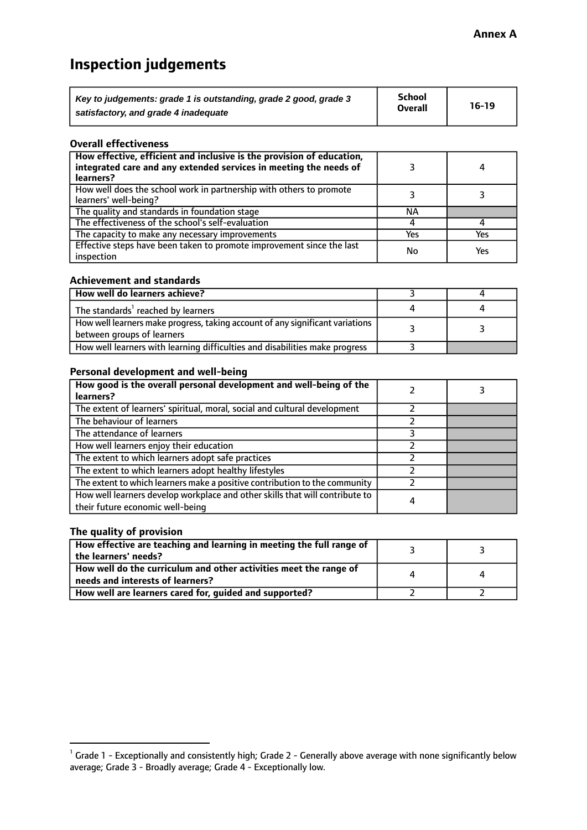# **Inspection judgements**

| Key to judgements: grade 1 is outstanding, grade 2 good, grade 3 | School         | $16-19$ |
|------------------------------------------------------------------|----------------|---------|
| satisfactory, and grade 4 inadequate                             | <b>Overall</b> |         |

#### **Overall effectiveness**

| How effective, efficient and inclusive is the provision of education,<br>integrated care and any extended services in meeting the needs of<br>learners? |     | 4   |
|---------------------------------------------------------------------------------------------------------------------------------------------------------|-----|-----|
| How well does the school work in partnership with others to promote<br>learners' well-being?                                                            |     |     |
| The quality and standards in foundation stage                                                                                                           | ΝA  |     |
| The effectiveness of the school's self-evaluation                                                                                                       |     |     |
| The capacity to make any necessary improvements                                                                                                         | Yes | Yes |
| Effective steps have been taken to promote improvement since the last<br>inspection                                                                     | No  | Yes |

#### **Achievement and standards**

| How well do learners achieve?                                                                               |  |
|-------------------------------------------------------------------------------------------------------------|--|
| The standards <sup>1</sup> reached by learners                                                              |  |
| How well learners make progress, taking account of any significant variations<br>between groups of learners |  |
| How well learners with learning difficulties and disabilities make progress                                 |  |

#### **Personal development and well-being**

| How good is the overall personal development and well-being of the<br>learners?                                  |   |  |
|------------------------------------------------------------------------------------------------------------------|---|--|
| The extent of learners' spiritual, moral, social and cultural development                                        |   |  |
| The behaviour of learners                                                                                        |   |  |
| The attendance of learners                                                                                       |   |  |
| How well learners enjoy their education                                                                          |   |  |
| The extent to which learners adopt safe practices                                                                |   |  |
| The extent to which learners adopt healthy lifestyles                                                            |   |  |
| The extent to which learners make a positive contribution to the community                                       |   |  |
| How well learners develop workplace and other skills that will contribute to<br>their future economic well-being | 4 |  |

## **The quality of provision**

| How effective are teaching and learning in meeting the full range of<br>the learners' needs?          |  |
|-------------------------------------------------------------------------------------------------------|--|
| How well do the curriculum and other activities meet the range of<br>needs and interests of learners? |  |
| How well are learners cared for, guided and supported?                                                |  |

 $^1$  Grade 1 - Exceptionally and consistently high; Grade 2 - Generally above average with none significantly below average; Grade 3 - Broadly average; Grade 4 - Exceptionally low.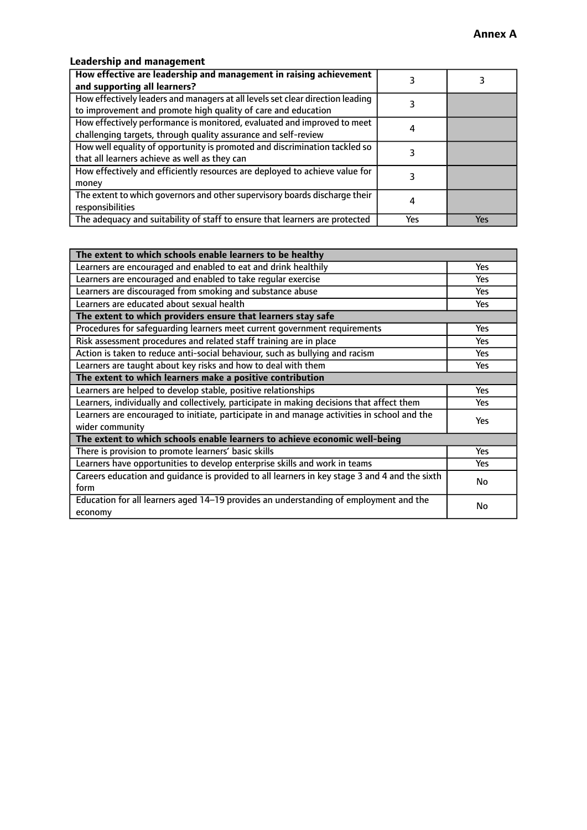# **Leadership and management**

| How effective are leadership and management in raising achievement<br>and supporting all learners?                                              |     |     |
|-------------------------------------------------------------------------------------------------------------------------------------------------|-----|-----|
| How effectively leaders and managers at all levels set clear direction leading<br>to improvement and promote high quality of care and education |     |     |
| How effectively performance is monitored, evaluated and improved to meet<br>challenging targets, through quality assurance and self-review      |     |     |
| How well equality of opportunity is promoted and discrimination tackled so<br>that all learners achieve as well as they can                     |     |     |
| How effectively and efficiently resources are deployed to achieve value for<br>money                                                            |     |     |
| The extent to which governors and other supervisory boards discharge their<br>responsibilities                                                  |     |     |
| The adequacy and suitability of staff to ensure that learners are protected                                                                     | Yes | Yes |

| The extent to which schools enable learners to be healthy                                     |            |  |
|-----------------------------------------------------------------------------------------------|------------|--|
| Learners are encouraged and enabled to eat and drink healthily                                | Yes        |  |
| Learners are encouraged and enabled to take regular exercise                                  | <b>Yes</b> |  |
| Learners are discouraged from smoking and substance abuse                                     | Yes        |  |
| Learners are educated about sexual health                                                     | Yes        |  |
| The extent to which providers ensure that learners stay safe                                  |            |  |
| Procedures for safeguarding learners meet current government requirements                     | Yes        |  |
| Risk assessment procedures and related staff training are in place                            | <b>Yes</b> |  |
| Action is taken to reduce anti-social behaviour, such as bullying and racism                  | Yes        |  |
| Learners are taught about key risks and how to deal with them                                 | Yes        |  |
| The extent to which learners make a positive contribution                                     |            |  |
| Learners are helped to develop stable, positive relationships                                 | <b>Yes</b> |  |
| Learners, individually and collectively, participate in making decisions that affect them     | <b>Yes</b> |  |
| Learners are encouraged to initiate, participate in and manage activities in school and the   | <b>Yes</b> |  |
| wider community                                                                               |            |  |
| The extent to which schools enable learners to achieve economic well-being                    |            |  |
| There is provision to promote learners' basic skills                                          | Yes        |  |
| Learners have opportunities to develop enterprise skills and work in teams                    | <b>Yes</b> |  |
| Careers education and quidance is provided to all learners in key stage 3 and 4 and the sixth | No         |  |
| form                                                                                          |            |  |
| Education for all learners aged 14-19 provides an understanding of employment and the         | No         |  |
| economy                                                                                       |            |  |